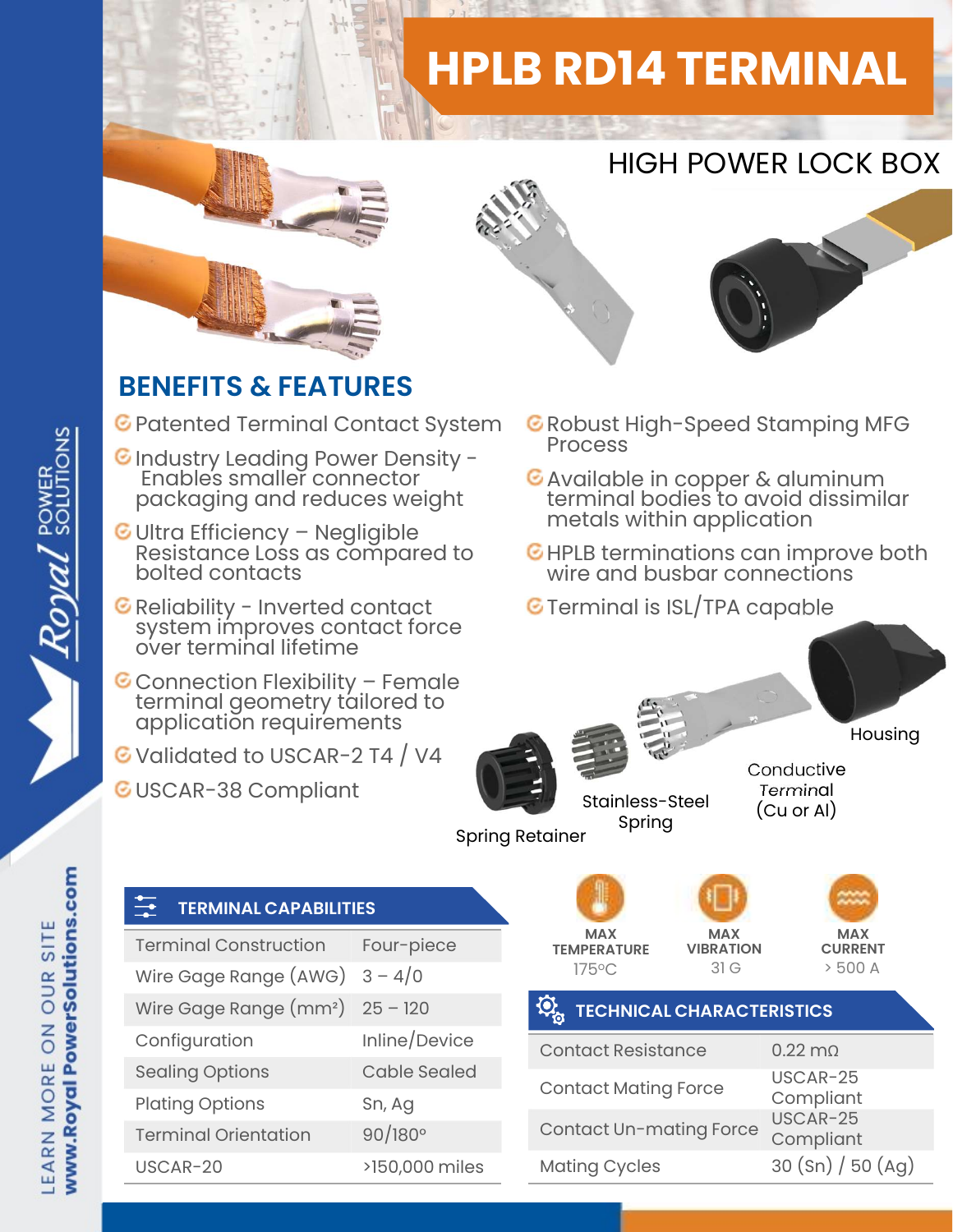## HPLB RD14 TERMINAL







## BENEFITS & FEATURES

- C Patented Terminal Contact System C Robust I
- C Industry Leading Power Density -Enables smaller connector packaging and reduces weight **ENEFITS & FEATURES**<br>
Patented Terminal Contact System ERIC<br>
Industry Leading Power Density – Resistance Ionnector<br>
Packaging and reduces weight<br>
Ultra Efficiency – Negligible<br>
Resistance Loss as compared to EHIC<br>
Bolted c Reliability Leading Power Density -<br>Finables smaller connector<br>packaging and reduces weight<br>Ultra Efficiency – Negligible<br>Resistance Loss as compared to<br>bolted contacts<br>Reliability - Inverted contact<br>system improves contac
- C Ultra Efficiency Negligible<br>Resistance Loss as compared to<br>bolted contacts<br>C Reliability Inverted contact<br>system improves contact force<br>over terminal lifetime<br>C Connection Flexibility Female<br>terminal geometry tailo
- 
- 
- G Validated to USCAR-2 T4 / V4

TERMINAL CAPABILITIES

GUSCAR-38 Compliant

- **C** Robust High-Speed Stamping MFG
- Available in copper & aluminum terminal bodies to avoid dissimilar metals within application
- G HPLB terminations can improve both wire and busbar connections
- **G** Terminal is ISL/TPA capable



USCAR-25

Compliant

## EARN MORE ON OUR SITE

Royal POWER

www.Royal PowerSolutions.com